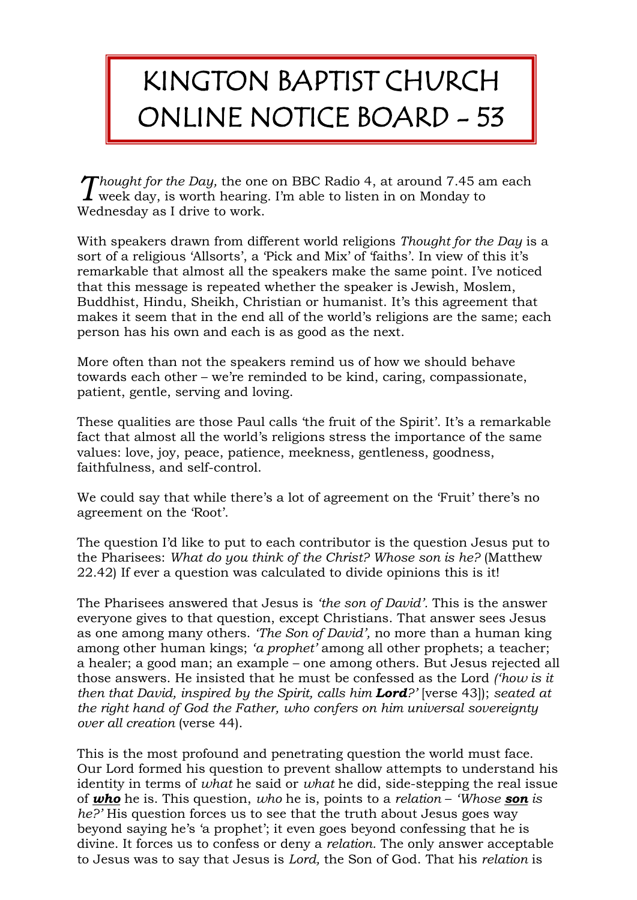## KINGTON BAPTIST CHURCH ONLINE NOTICE BOARD - 53

*Thought for the Day,* the one on BBC Radio 4, at around 7.45 am each Thought for the Day, the one on BBC Radio 4, at around 7.45 and week day, is worth hearing. I'm able to listen in on Monday to Wednesday as I drive to work.

With speakers drawn from different world religions *Thought for the Day* is a sort of a religious 'Allsorts', a 'Pick and Mix' of 'faiths'. In view of this it's remarkable that almost all the speakers make the same point. I've noticed that this message is repeated whether the speaker is Jewish, Moslem, Buddhist, Hindu, Sheikh, Christian or humanist. It's this agreement that makes it seem that in the end all of the world's religions are the same; each person has his own and each is as good as the next.

More often than not the speakers remind us of how we should behave towards each other – we're reminded to be kind, caring, compassionate, patient, gentle, serving and loving.

These qualities are those Paul calls 'the fruit of the Spirit'. It's a remarkable fact that almost all the world's religions stress the importance of the same values: love, joy, peace, patience, meekness, gentleness, goodness, faithfulness, and self-control.

We could say that while there's a lot of agreement on the 'Fruit' there's no agreement on the 'Root'.

The question I'd like to put to each contributor is the question Jesus put to the Pharisees: *What do you think of the Christ? Whose son is he?* (Matthew 22.42) If ever a question was calculated to divide opinions this is it!

The Pharisees answered that Jesus is *'the son of David'.* This is the answer everyone gives to that question, except Christians. That answer sees Jesus as one among many others. *'The Son of David',* no more than a human king among other human kings; *'a prophet'* among all other prophets; a teacher; a healer; a good man; an example – one among others. But Jesus rejected all those answers. He insisted that he must be confessed as the Lord *('how is it then that David, inspired by the Spirit, calls him Lord?'* [verse 43]); *seated at the right hand of God the Father, who confers on him universal sovereignty over all creation* (verse 44).

This is the most profound and penetrating question the world must face. Our Lord formed his question to prevent shallow attempts to understand his identity in terms of *what* he said or *what* he did, side-stepping the real issue of *who* he is. This question, *who* he is, points to a *relation* – *'Whose son is he?'* His question forces us to see that the truth about Jesus goes way beyond saying he's 'a prophet'; it even goes beyond confessing that he is divine. It forces us to confess or deny a *relation.* The only answer acceptable to Jesus was to say that Jesus is *Lord,* the Son of God. That his *relation* is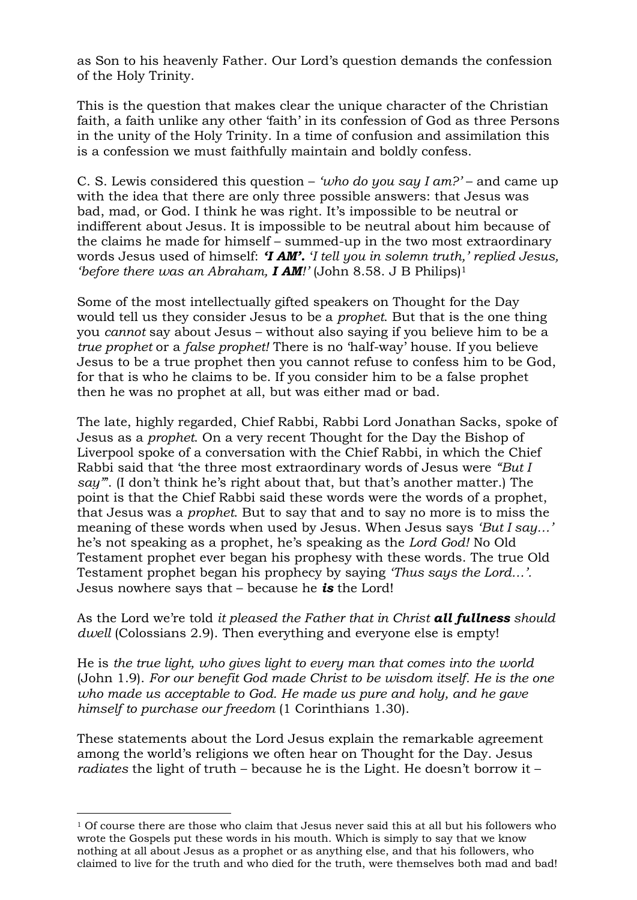as Son to his heavenly Father. Our Lord's question demands the confession of the Holy Trinity.

This is the question that makes clear the unique character of the Christian faith, a faith unlike any other 'faith' in its confession of God as three Persons in the unity of the Holy Trinity. In a time of confusion and assimilation this is a confession we must faithfully maintain and boldly confess.

C. S. Lewis considered this question – *'who do you say I am?'* – and came up with the idea that there are only three possible answers: that Jesus was bad, mad, or God. I think he was right. It's impossible to be neutral or indifferent about Jesus. It is impossible to be neutral about him because of the claims he made for himself – summed-up in the two most extraordinary words Jesus used of himself: *'I AM'.* '*I tell you in solemn truth,' replied Jesus, 'before there was an Abraham, I AM!'* (John 8.58. J B Philips)<sup>1</sup>

Some of the most intellectually gifted speakers on Thought for the Day would tell us they consider Jesus to be a *prophet*. But that is the one thing you *cannot* say about Jesus – without also saying if you believe him to be a *true prophet* or a *false prophet!* There is no 'half-way' house. If you believe Jesus to be a true prophet then you cannot refuse to confess him to be God, for that is who he claims to be. If you consider him to be a false prophet then he was no prophet at all, but was either mad or bad.

The late, highly regarded, Chief Rabbi, Rabbi Lord Jonathan Sacks, spoke of Jesus as a *prophet*. On a very recent Thought for the Day the Bishop of Liverpool spoke of a conversation with the Chief Rabbi, in which the Chief Rabbi said that 'the three most extraordinary words of Jesus were *"But I say"*'. (I don't think he's right about that, but that's another matter.) The point is that the Chief Rabbi said these words were the words of a prophet, that Jesus was a *prophet*. But to say that and to say no more is to miss the meaning of these words when used by Jesus. When Jesus says *'But I say…'* he's not speaking as a prophet, he's speaking as the *Lord God!* No Old Testament prophet ever began his prophesy with these words. The true Old Testament prophet began his prophecy by saying *'Thus says the Lord…'.* Jesus nowhere says that – because he *is* the Lord!

As the Lord we're told *it pleased the Father that in Christ all fullness should dwell* (Colossians 2.9). Then everything and everyone else is empty!

He is *the true light, who gives light to every man that comes into the world*  (John 1.9). *For our benefit God made Christ to be wisdom itself. He is the one who made us acceptable to God. He made us pure and holy, and he gave himself to purchase our freedom* (1 Corinthians 1.30).

These statements about the Lord Jesus explain the remarkable agreement among the world's religions we often hear on Thought for the Day. Jesus *radiates* the light of truth – because he is the Light. He doesn't borrow it –

-

 $1$  Of course there are those who claim that Jesus never said this at all but his followers who wrote the Gospels put these words in his mouth. Which is simply to say that we know nothing at all about Jesus as a prophet or as anything else, and that his followers, who claimed to live for the truth and who died for the truth, were themselves both mad and bad!